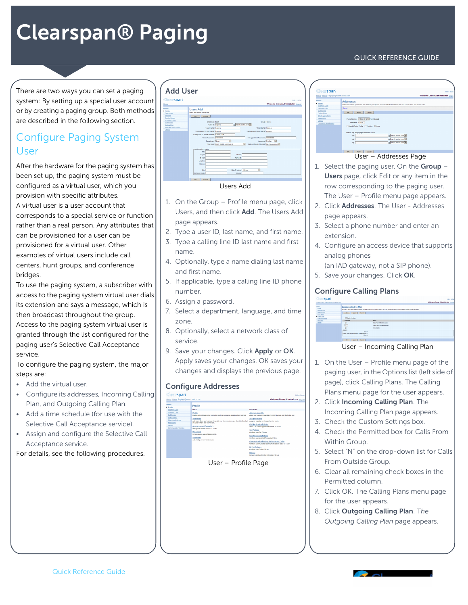# Clearspan® Paging

There are two ways you can set a paging system: By setting up a special user account or by creating a paging group. Both methods are described in the following section.

## Configure Paging System User

After the hardware for the paging system has been set up, the paging system must be configured as a virtual user, which you provision with specific attributes. A virtual user is a user account that corresponds to a special service or function rather than a real person. Any attributes that can be provisioned for a user can be provisioned for a virtual user. Other examples of virtual users include call centers, hunt groups, and conference bridges.

To use the paging system, a subscriber with access to the paging system virtual user dials its extension and says a message, which is then broadcast throughout the group. Access to the paging system virtual user is granted through the list configured for the paging user's Selective Call Acceptance service.

To configure the paging system, the major steps are:

- Add the virtual user.
- Configure its addresses, Incoming Calling Plan, and Outgoing Calling Plan.
- Add a time schedule (for use with the Selective Call Acceptance service).
- Assign and configure the Selective Call Acceptance service.

For details, see the following procedures.

#### Add User  $\sqrt{258}$ span



Users Add

- 1. On the Group Profile menu page, click Users, and then click Add. The Users Add page appears.
- 2. Type a user ID, last name, and first name.
- 3. Type a calling line ID last name and first name.
- 4. Optionally, type a name dialing last name and first name.
- 5. If applicable, type a calling line ID phone number.
- 6. Assign a password.
- 7. Select a department, language, and time zone.
- 8. Optionally, select a network class of service.
- 9. Save your changes. Click Apply or OK. Apply saves your changes. OK saves your changes and displays the previous page.

#### Configure Addresses



| Clearspan<br>Group >Users : Paging2@marsh aastra.com                                                                                                                      | Help - Ham<br>Welcome Group Administrator [1999]                                                                                                                                                                                                                                            |
|---------------------------------------------------------------------------------------------------------------------------------------------------------------------------|---------------------------------------------------------------------------------------------------------------------------------------------------------------------------------------------------------------------------------------------------------------------------------------------|
| betiens:<br>Profile<br><b>Incoming Calls</b><br>Outseling Calls<br>Call Control<br>Calling Plans<br>Client Applications<br>Messaging<br>Utilities<br>Communication Rantee | <b>Addresses</b><br>Addresses allows you to view and maintain your phone number and other identities that are used to make and receive calls.<br>Sayed<br>Cancel<br>Accès -<br>OK<br>Phone Number: 9785551019 W Not Adivated<br>Exercion: 51019<br>Cidenth/Device Profile C Trunking @ None |
|                                                                                                                                                                           | Aliases: sig: Paging2@marsh.aastra.com<br>@ marsh asstracem v<br><b>No</b><br>@ minhassta.com<br>388<br>a marsh assta.com v<br><b>Sign</b>                                                                                                                                                  |

#### User – Addresses Page

- 1. Select the paging user. On the Group  $-$ Users page, click Edit or any item in the row corresponding to the paging user. The User – Profile menu page appears.
- 2. Click Addresses. The User Addresses page appears.
- 3. Select a phone number and enter an extension.
- 4. Configure an access device that supports analog phones
- (an IAD gateway, not a SIP phone).
- 5. Save your changes. Click OK.

#### Configure Calling Plans

| -span                                                                                                                                   |                                                                                     |                                                                                                                                                                  | Hig - Home                         |
|-----------------------------------------------------------------------------------------------------------------------------------------|-------------------------------------------------------------------------------------|------------------------------------------------------------------------------------------------------------------------------------------------------------------|------------------------------------|
| Croup-toers : Pagnadiment, asstra.com                                                                                                   |                                                                                     |                                                                                                                                                                  | Welcome Group Administrator Logard |
| <b>Customs:</b><br><b>Date</b><br>Incoming Calls<br>Outside Calls<br><b>Call Control</b><br><b>Calling Plans</b><br>Client Applications | <b>Incoming Calling Plan</b><br>DK Reviv Corvel<br>C Cestern Bettings               | Incenting Calling Plan allows you to niew the calling plan rules for your incorning calls. Only your administrator can change the call trave that are permitted. |                                    |
| Messaging                                                                                                                               | Femibio                                                                             | <b>Hana</b>                                                                                                                                                      |                                    |
| Utility                                                                                                                                 | R                                                                                   | Calls From Within Enterprise                                                                                                                                     |                                    |
|                                                                                                                                         | FV                                                                                  | Calls From Outside Enterprise                                                                                                                                    |                                    |
|                                                                                                                                         | <b>D</b>                                                                            | Critical Cada                                                                                                                                                    |                                    |
|                                                                                                                                         | r Legendi<br>Mos'Y<br>Partial - Allow sely disanglemed by a group asset?"<br>Plan N |                                                                                                                                                                  |                                    |
|                                                                                                                                         |                                                                                     |                                                                                                                                                                  |                                    |
|                                                                                                                                         | <b>Depty</b> Careel<br>$\alpha$                                                     |                                                                                                                                                                  |                                    |

User – Incoming Calling Plan

- 1. On the User Profile menu page of the paging user, in the Options list (left side of page), click Calling Plans. The Calling Plans menu page for the user appears.
- 2. Click Incoming Calling Plan. The Incoming Calling Plan page appears.
- 3. Check the Custom Settings box.
- 4. Check the Permitted box for Calls From Within Group.
- 5. Select "N" on the drop-down list for Calls From Outside Group.
- 6. Clear all remaining check boxes in the Permitted column.
- 7. Click OK. The Calling Plans menu page for the user appears.
- 8. Click Outgoing Calling Plan. T*he Outgoing Calling Plan* page appears.

### QUICK REFERENCE GUIDE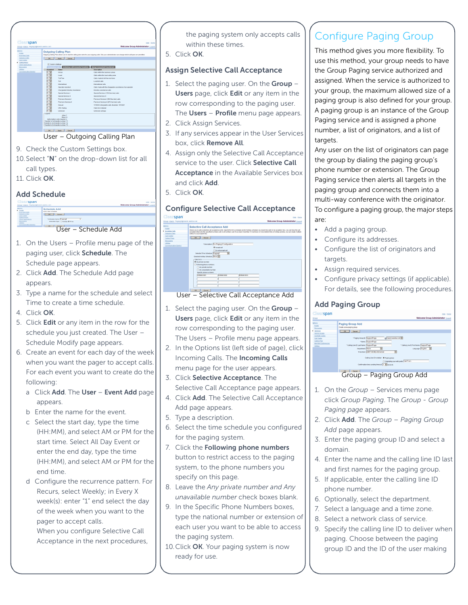

- User Outgoing Calling Plan
- 9. Check the Custom Settings box.
- 10.Select "N" on the drop-down list for all call types.
- 11. Click OK.

#### Add Schedule



- 1. On the Users Profile menu page of the paging user, click Schedule. The Schedule page appears.
- 2. Click Add. The Schedule Add page appears.
- 3. Type a name for the schedule and select Time to create a time schedule.
- 4. Click OK.
- 5. Click Edit or any item in the row for the schedule you just created. The User – Schedule Modify page appears.
- 6. Create an event for each day of the week when you want the pager to accept calls. For each event you want to create do the following:
	- a Click Add. The User Event Add page appears.
	- b Enter the name for the event.
	- c Select the start day, type the time (HH:MM), and select AM or PM for the start time. Select All Day Event or enter the end day, type the time (HH:MM), and select AM or PM for the end time.
	- d Configure the recurrence pattern. For Recurs, select Weekly; in Every X week(s): enter "1" end select the day of the week when you want to the pager to accept calls. When you configure Selective Call

Acceptance in the next procedures,

the paging system only accepts calls within these times.

5. Click OK.

#### Assign Selective Call Acceptance

- 1. Select the paging user. On the Group -Users page, click Edit or any item in the row corresponding to the paging user. The Users - Profile menu page appears.
- 2. Click Assign Services.
- 3. If any services appear in the User Services box, click Remove All.
- 4. Assign only the Selective Call Acceptance service to the user. Click Selective Call Acceptance in the Available Services box and click Add.
- 5. Click OK.

#### Configure Selective Call Acceptance

| ∃∣@ล<br>span                                                                                                                                             | Help - Hame                                                                                                                                                                                                                                                                                                                                                                                                                                                                                                                                                                                                                            |
|----------------------------------------------------------------------------------------------------------------------------------------------------------|----------------------------------------------------------------------------------------------------------------------------------------------------------------------------------------------------------------------------------------------------------------------------------------------------------------------------------------------------------------------------------------------------------------------------------------------------------------------------------------------------------------------------------------------------------------------------------------------------------------------------------------|
| roup >Users : Paging2@marsh.aastra.com                                                                                                                   | Welcome Group Administrator (Legest                                                                                                                                                                                                                                                                                                                                                                                                                                                                                                                                                                                                    |
| <b>State</b><br>Profile<br><b>Incoming Calls</b><br>Outpeing Calls<br>Call Control<br>Calling Plans<br>Massaging<br><b>USING</b><br>Communication Raning | <b>Selective Call Acceptance Add</b><br>Allows you to add a selective call acceptance entry. Specify the time schedule and/or holiday schedule you would like calls to be accepted. Also, you can have the call<br>accepted when only the specified numbers call or all numbers call. If you need more than 12 numbers or more distinct time or holiday periods, you can create multiple<br>entries to accomplish this<br><b>OK</b><br>Concell<br>* Description: Por Paging 2 Configuration<br><b>Chargest con</b><br>O Do not accept call<br>Selected Time Schedule: Paging2<br>v<br>Selected Holiday Schedule: None W.<br>Calls from |
|                                                                                                                                                          | 60 Any obone number<br>O Following phone sumbers:<br>Any private number<br>Ti Any unavailable number<br><b>Specific abone curebers:</b><br>9785551010<br>9785551001<br>9785551002                                                                                                                                                                                                                                                                                                                                                                                                                                                      |
|                                                                                                                                                          | <b>OK</b><br>Cancel                                                                                                                                                                                                                                                                                                                                                                                                                                                                                                                                                                                                                    |
| $l_{\rm corr}$                                                                                                                                           | Coloctive Call Accontance Add                                                                                                                                                                                                                                                                                                                                                                                                                                                                                                                                                                                                          |

User – Selective Call Acceptance Add

- 1. Select the paging user. On the Group  $-$ Users page, click Edit or any item in the row corresponding to the paging user. The Users – Profile menu page appears.
- 2. In the Options list (left side of page), click Incoming Calls. The Incoming Calls menu page for the user appears.
- 3. Click Selective Acceptance. The Selective Call Acceptance page appears.
- 4. Click Add. The Selective Call Acceptance Add page appears.
- 5. Type a description.
- 6. Select the time schedule you configured for the paging system.
- 7. Click the Following phone numbers button to restrict access to the paging system, to the phone numbers you specify on this page.
- 8. Leave the *Any private number and Any unavailable number* check boxes blank.
- 9. In the Specific Phone Numbers boxes, type the national number or extension of each user you want to be able to access the paging system.
- 10. Click OK. Your paging system is now ready for use.

## Configure Paging Group

This method gives you more flexibility. To use this method, your group needs to have the Group Paging service authorized and assigned. When the service is authorized to your group, the maximum allowed size of a paging group is also defined for your group. A paging group is an instance of the Group Paging service and is assigned a phone number, a list of originators, and a list of targets.

Any user on the list of originators can page the group by dialing the paging group's phone number or extension. The Group Paging service then alerts all targets in the paging group and connects them into a multi-way conference with the originator. To configure a paging group, the major steps are:

- Add a paging group.
- Configure its addresses.
- Configure the list of originators and targets.
- Assign required services.
- Configure privacy settings (if applicable). For details, see the following procedures.

#### Add Paging Group

| <b>Clearspan</b>                                                                                                                                                | Help - Home                                                                                                                                                                                                                                                                                                                                                                                                                                                                                                   |
|-----------------------------------------------------------------------------------------------------------------------------------------------------------------|---------------------------------------------------------------------------------------------------------------------------------------------------------------------------------------------------------------------------------------------------------------------------------------------------------------------------------------------------------------------------------------------------------------------------------------------------------------------------------------------------------------|
| Group                                                                                                                                                           | Welcome Group Administrator [Logod]                                                                                                                                                                                                                                                                                                                                                                                                                                                                           |
| Detices:<br>Profile<br>Resources<br><b>b</b> Services<br>Service Scripts<br>Acctivuts Codes<br>Call Center<br>Califos Plan<br>Meet-Me Conferencing<br>Utilities | <b>Paging Group Add</b><br>Create a new paging group.<br>OK.<br>Cancel<br>* Paging Group ID: SupportPage<br>A marsh pasta corr V<br>*Name: SupportPage<br>* Calling Line ID First Name: SupportPage<br>*CalingLine D Last Name: SupportPage<br><b>Department</b> None<br>Language: English V<br>$\overline{\mathbf{v}}$<br>Time Zene: (/GMT-05.00) US/Central<br>V<br>Calling Line ID to deliver: @ Paging group<br>Closginategiuser with pratic Call Front:<br>Confirmation tone sending timeout 3 V seconds |
|                                                                                                                                                                 | <b>OK</b><br>Cencel                                                                                                                                                                                                                                                                                                                                                                                                                                                                                           |
|                                                                                                                                                                 | Group - Paging Group Add                                                                                                                                                                                                                                                                                                                                                                                                                                                                                      |

- 1. On the *Group* Services menu page click *Group Paging*. The *Group - Group Paging page* appears.
- 2. Click Add. The *Group Paging Group Add* page appears.
- 3. Enter the paging group ID and select a domain.
- 4. Enter the name and the calling line ID last and first names for the paging group.
- 5. If applicable, enter the calling line ID phone number.
- 6. Optionally, select the department.
- 7. Select a language and a time zone.
- 8. Select a network class of service.
- 9. Specify the calling line ID to deliver when paging. Choose between the paging group ID and the ID of the user making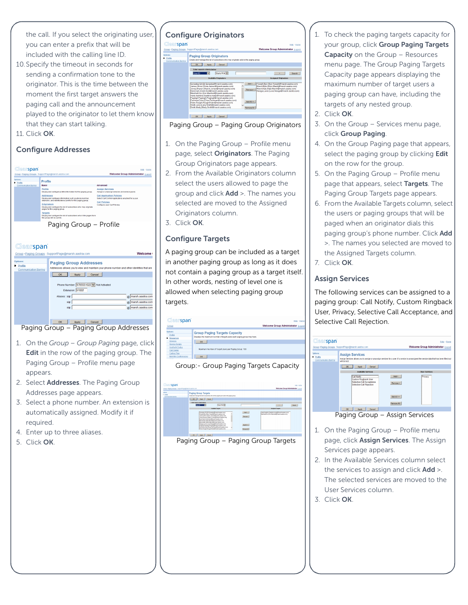the call. If you select the originating user, you can enter a prefix that will be included with the calling line ID.

- 10.Specify the timeout in seconds for sending a confirmation tone to the originator. This is the time between the moment the first target answers the paging call and the announcement played to the originator to let them know that they can start talking.
- 11. Click OK.

#### Configure Addresses





- 1. On the *Group Group Paging* page, click Edit in the row of the paging group. The Paging Group – Profile menu page appears.
- 2. Select **Addresses**. The Paging Group Addresses page appears.
- 3. Select a phone number. An extension is automatically assigned. Modify it if required.
- 4. Enter up to three aliases.
- 5. Click OK.

#### Configure Originators

## $\frac{60}{2}$

 $rac{Opd}{\epsilon}$ 

| <b>earspan</b>                                  |                                                                                                                                                                                                                                                                                                                                                                                                                                                                                                                                           | Help - Home                                                                                                                                                                                                                                    |
|-------------------------------------------------|-------------------------------------------------------------------------------------------------------------------------------------------------------------------------------------------------------------------------------------------------------------------------------------------------------------------------------------------------------------------------------------------------------------------------------------------------------------------------------------------------------------------------------------------|------------------------------------------------------------------------------------------------------------------------------------------------------------------------------------------------------------------------------------------------|
|                                                 | ip »Paging Groups: SupportPage@marsh.aastra.com                                                                                                                                                                                                                                                                                                                                                                                                                                                                                           | <b>Welcome Group Administrator (Legout)</b>                                                                                                                                                                                                    |
| 16 <sup>-</sup><br>offie<br>mmunication Barring | <b>Paging Group Originators</b><br>Create and manage the list of subscribers who may originate calls to the paging group.<br>Cancel<br>OK                                                                                                                                                                                                                                                                                                                                                                                                 |                                                                                                                                                                                                                                                |
|                                                 | Apply                                                                                                                                                                                                                                                                                                                                                                                                                                                                                                                                     |                                                                                                                                                                                                                                                |
|                                                 | <b>Enter search criteria below</b>                                                                                                                                                                                                                                                                                                                                                                                                                                                                                                        |                                                                                                                                                                                                                                                |
|                                                 | Starts With ~<br><b>User D</b>                                                                                                                                                                                                                                                                                                                                                                                                                                                                                                            | Search                                                                                                                                                                                                                                         |
|                                                 | <b>Available Originators</b>                                                                                                                                                                                                                                                                                                                                                                                                                                                                                                              | <b>Assigned Originators</b>                                                                                                                                                                                                                    |
|                                                 | Gonzalez Gil (Gil Gonzalez@marsh.gastra.com)<br>James Olivia (Olivia James@marsh.aastra.com)<br>Jones Sharon (Sharon Jones@marsh aastra.com)<br>Kent Clark (Clark Kent@marsh.aastra.com)<br>Marshall Eric (Eric Marshall@marsh.aastra.com)<br>marty, hawkins (hawkins, marty@marsh.aastra.com)<br>Paging2.Paging2 (Paging2@marsh.aastra.com)<br>Perriman Drew (Drew Perriman@marsh agstra.com)<br>Rider, Rough (Rough Rider@marsh.aastra.com)<br>Smith Larry (Larry Smith@marsh.aastra.com)<br>Smith Marty (Marty Smith@marsh.aastra.com) | Add ><br>Howeth Ben (Ben Howeth@marsh agstra.com)<br>Marsh Mylo (Mylo Marsh@marsh aastra.com)<br>Marsh Katy (Katy Marsh@marsh.aastra.com)<br>Remove <<br>Neaga Lucia (Lucia Neaga@marsh.aastra.com)<br><b>A44 All &gt;&gt;</b><br>Remove All - |
|                                                 | <b>OK</b><br>Cancel<br>Apply                                                                                                                                                                                                                                                                                                                                                                                                                                                                                                              |                                                                                                                                                                                                                                                |



- 1. On the Paging Group Profile menu page, select Originators. The Paging Group Originators page appears.
- 2. From the Available Originators column select the users allowed to page the group and click Add >. The names you selected are moved to the Assigned Originators column.
- 3. Click OK.

#### Configure Targets

A paging group can be included as a target in another paging group as long as it does not contain a paging group as a target itself. In other words, nesting of level one is allowed when selecting paging group targets.



| эран                                                 |                                                                                                                                                                                                                                                                                                                                                     |                                                                                                                                                                                                                                                                                                                                                                                                                                                     |                                                           |                                                                                                                            | <b>CONTRACTOR</b>                 |
|------------------------------------------------------|-----------------------------------------------------------------------------------------------------------------------------------------------------------------------------------------------------------------------------------------------------------------------------------------------------------------------------------------------------|-----------------------------------------------------------------------------------------------------------------------------------------------------------------------------------------------------------------------------------------------------------------------------------------------------------------------------------------------------------------------------------------------------------------------------------------------------|-----------------------------------------------------------|----------------------------------------------------------------------------------------------------------------------------|-----------------------------------|
| to -Pasne Grops : SupplyPage@narsh.aasha.com         |                                                                                                                                                                                                                                                                                                                                                     |                                                                                                                                                                                                                                                                                                                                                                                                                                                     |                                                           |                                                                                                                            | Welcome Group Administrator Logod |
| one.<br><b>Solla</b><br><b>Communication Daniers</b> | <b>Paging Group Targets</b><br>Create and manage the list of subscribers who will be paged apon calls to the paging group.<br><b>OK</b><br>Conrad<br>Apply<br>Fabri search criteria below<br>Tv.<br>Diet D<br>Sent Clark (Clark Kamilymansh a solra com)<br>March Katy Katy Mandrid wareh aanba cond-<br>Margh Melo Brivis Margh@margh agests comi- | <b>Business</b><br><b>Craitable Targets</b><br>Gorgaiez Ga Kat Gorgaiez@rearch.aastra.com<br>Howeft Den Elen Howeft@manth.gastra.com<br>James Olivia Olivia James@manh aasta raml<br>Jones Sharon (Sharon Jones/Presesh asetta cons)<br>Newca Lucia (Lucia Newcas@marsh.asoba.com)<br>Pages2 Pages2 Pages201man8 aarta cani<br>Parimas Draw Draw Persman@marsh.asatra.com<br>$\overline{\phantom{a}}$<br>Rider Rough Plough Rider@marsh.eastra.com) | AM><br><b>Renove</b> t<br>Add #0 xx<br><b>Remove 31 4</b> | ٠<br><b>Antiqued Targets</b><br>sustainables haukiss natylinant aasta cora<br>Marshall Enc (Enc Marshall@marsh asstra com) | Searth                            |
|                                                      | <b>OK</b><br>Apply<br><b>Cancel</b>                                                                                                                                                                                                                                                                                                                 |                                                                                                                                                                                                                                                                                                                                                                                                                                                     |                                                           |                                                                                                                            |                                   |



- 1. To check the paging targets capacity for your group, click Group Paging Targets Capacity on the Group – Resources menu page. The Group Paging Targets Capacity page appears displaying the maximum number of target users a paging group can have, including the targets of any nested group.
- 2. Click OK.
- 3. On the Group Services menu page, click Group Paging.
- 4. On the Group Paging page that appears, select the paging group by clicking Edit on the row for the group.
- 5. On the Paging Group Profile menu page that appears, select Targets. The Paging Group Targets page appears.
- 6. From the Available Targets column, select the users or paging groups that will be paged when an originator dials this paging group's phone number. Click Add >. The names you selected are moved to the Assigned Targets column.
- 7. Click OK.

#### Assign Services

The following services can be assigned to a paging group: Call Notify, Custom Ringback User, Privacy, Selective Call Acceptance, and Selective Call Rejection.

| <b>Clearspan</b>                             | Group >Paging Groups: SupportPage@marsh.aastra.com                                                                                                                                   |                           | Help - Home<br><b>Welcome Group Administrator [Legout]</b> |
|----------------------------------------------|--------------------------------------------------------------------------------------------------------------------------------------------------------------------------------------|---------------------------|------------------------------------------------------------|
| Dotions:<br>Profile<br>Communication Barring | <b>Assign Services</b><br>Assign Services allows you to assign or unassign services for a user. If a service is unassigned the service data that has been filled out<br>will be lost |                           |                                                            |
|                                              | Cancel<br>OK<br>Acoly<br><b>Available Services</b>                                                                                                                                   |                           | <b>User Services</b>                                       |
|                                              | <b>Call Notify</b><br>Custom Ringback User<br>Selective Call Acceptance<br><b>Selective Call Rejection</b>                                                                           | Add ><br>Remove <         | Privacy                                                    |
|                                              |                                                                                                                                                                                      | Add All>><br>Remove All < |                                                            |
|                                              | OK.<br>Cancel<br>Acoly                                                                                                                                                               |                           |                                                            |
|                                              | Paging Group - Assign Services                                                                                                                                                       |                           |                                                            |

- 1. On the Paging Group Profile menu page, click Assign Services. The Assign Services page appears.
- 2. In the Available Services column select the services to assign and click **Add** >. The selected services are moved to the User Services column.
- 3. Click OK.